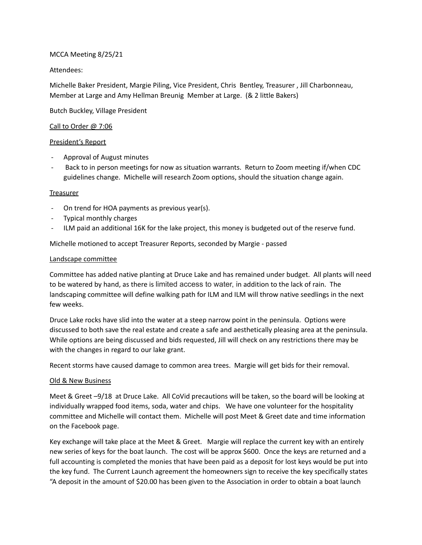### MCCA Meeting 8/25/21

# Attendees:

Michelle Baker President, Margie Piling, Vice President, Chris Bentley, Treasurer , Jill Charbonneau, Member at Large and Amy Hellman Breunig Member at Large. (& 2 little Bakers)

Butch Buckley, Village President

# Call to Order @ 7:06

# President's Report

- Approval of August minutes
- Back to in person meetings for now as situation warrants. Return to Zoom meeting if/when CDC guidelines change. Michelle will research Zoom options, should the situation change again.

### **Treasurer**

- On trend for HOA payments as previous year(s).
- Typical monthly charges
- ILM paid an additional 16K for the lake project, this money is budgeted out of the reserve fund.

Michelle motioned to accept Treasurer Reports, seconded by Margie - passed

### Landscape committee

Committee has added native planting at Druce Lake and has remained under budget. All plants will need to be watered by hand, as there is limited access to water, in addition to the lack of rain. The landscaping committee will define walking path for ILM and ILM will throw native seedlings in the next few weeks.

Druce Lake rocks have slid into the water at a steep narrow point in the peninsula. Options were discussed to both save the real estate and create a safe and aesthetically pleasing area at the peninsula. While options are being discussed and bids requested, Jill will check on any restrictions there may be with the changes in regard to our lake grant.

Recent storms have caused damage to common area trees. Margie will get bids for their removal.

### Old & New Business

Meet & Greet –9/18 at Druce Lake. All CoVid precautions will be taken, so the board will be looking at individually wrapped food items, soda, water and chips. We have one volunteer for the hospitality committee and Michelle will contact them. Michelle will post Meet & Greet date and time information on the Facebook page.

Key exchange will take place at the Meet & Greet. Margie will replace the current key with an entirely new series of keys for the boat launch. The cost will be approx \$600. Once the keys are returned and a full accounting is completed the monies that have been paid as a deposit for lost keys would be put into the key fund. The Current Launch agreement the homeowners sign to receive the key specifically states "A deposit in the amount of \$20.00 has been given to the Association in order to obtain a boat launch